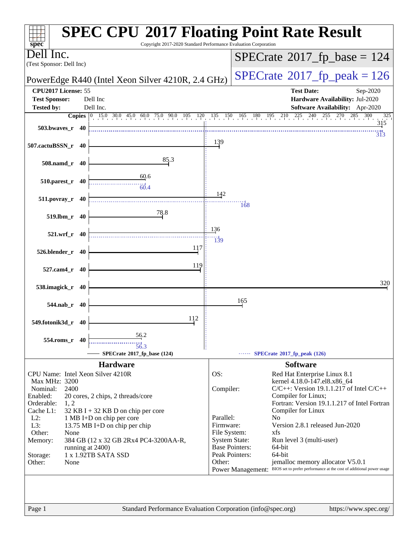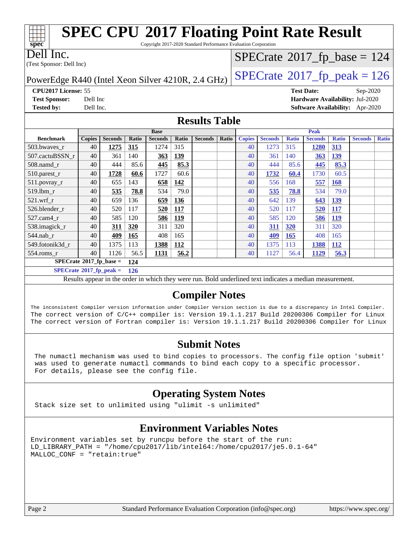| <b>SPEC CPU®2017 Floating Point Rate Result</b><br>spec<br>Copyright 2017-2020 Standard Performance Evaluation Corporation |                                                     |                |       |                        |                     |                |              |                                            |                        |                     |                   |              |                                 |              |
|----------------------------------------------------------------------------------------------------------------------------|-----------------------------------------------------|----------------|-------|------------------------|---------------------|----------------|--------------|--------------------------------------------|------------------------|---------------------|-------------------|--------------|---------------------------------|--------------|
| Dell Inc.                                                                                                                  |                                                     |                |       |                        |                     |                |              | $SPECTate$ <sup>®</sup> 2017_fp_base = 124 |                        |                     |                   |              |                                 |              |
| (Test Sponsor: Dell Inc)                                                                                                   |                                                     |                |       |                        |                     |                |              |                                            |                        |                     |                   |              |                                 |              |
| $SPECTate@2017fp peak = 126$<br>PowerEdge R440 (Intel Xeon Silver 4210R, 2.4 GHz)                                          |                                                     |                |       |                        |                     |                |              |                                            |                        |                     |                   |              |                                 |              |
| CPU2017 License: 55                                                                                                        |                                                     |                |       |                        |                     |                |              |                                            |                        |                     | <b>Test Date:</b> |              | Sep-2020                        |              |
| <b>Test Sponsor:</b>                                                                                                       | Dell Inc                                            |                |       |                        |                     |                |              |                                            |                        |                     |                   |              | Hardware Availability: Jul-2020 |              |
| <b>Tested by:</b>                                                                                                          | Dell Inc.<br><b>Software Availability:</b> Apr-2020 |                |       |                        |                     |                |              |                                            |                        |                     |                   |              |                                 |              |
| <b>Results Table</b>                                                                                                       |                                                     |                |       |                        |                     |                |              |                                            |                        |                     |                   |              |                                 |              |
| <b>Benchmark</b>                                                                                                           |                                                     |                |       | <b>Base</b>            |                     |                |              | Peak                                       |                        |                     |                   |              |                                 |              |
|                                                                                                                            | <b>Copies</b><br>40                                 | <b>Seconds</b> | Ratio | <b>Seconds</b><br>1274 | <b>Ratio</b><br>315 | <b>Seconds</b> | <b>Ratio</b> | <b>Copies</b><br>40                        | <b>Seconds</b><br>1273 | <b>Ratio</b><br>315 | <b>Seconds</b>    | <b>Ratio</b> | <b>Seconds</b>                  | <b>Ratio</b> |
| 503.bwayes r                                                                                                               |                                                     | 1275           | 315   |                        |                     |                |              |                                            |                        |                     | 1280              | 313          |                                 |              |
| 507.cactuBSSN r                                                                                                            | 40                                                  | 361            | 140   | 363                    | 139                 |                |              | 40                                         | 361                    | 140                 | 363               | 139          |                                 |              |
| 508.namd r                                                                                                                 | 40                                                  | 444            | 85.6  | 445                    | 85.3                |                |              | 40                                         | 444                    | 85.6                | 445               | 85.3         |                                 |              |
| 510.parest_r                                                                                                               | 40                                                  | 1728           | 60.6  | 1727                   | 60.6                |                |              | 40                                         | 1732                   | 60.4                | 1730              | 60.5         |                                 |              |
| 511.povray_r                                                                                                               | 40                                                  | 655            | 143   | 658                    | 142                 |                |              | 40                                         | 556                    | 168                 | 557               | 168          |                                 |              |
| 519.lbm r                                                                                                                  | 40                                                  | 535            | 78.8  | 534                    | 79.0                |                |              | 40                                         | 535                    | 78.8                | 534               | 79.0         |                                 |              |
| 521.wrf r                                                                                                                  | 40                                                  | 659            | 136   | 659                    | 136                 |                |              | 40                                         | 642                    | 139                 | 643               | 139          |                                 |              |
| 526.blender r                                                                                                              | 40                                                  | 520            | 117   | 520                    | 117                 |                |              | 40                                         | 520                    | 117                 | 520               | 117          |                                 |              |
| 527.cam4 r                                                                                                                 | 40                                                  | 585            | 120   | 586                    | 119                 |                |              | 40                                         | 585                    | 120                 | 586               | 119          |                                 |              |
| 538.imagick r                                                                                                              | 40                                                  | 311            | 320   | 311                    | 320                 |                |              | 40                                         | 311                    | 320                 | 311               | 320          |                                 |              |
| 544.nab r                                                                                                                  | 40                                                  | 409            | 165   | 408                    | 165                 |                |              | 40                                         | 409                    | 165                 | 408               | 165          |                                 |              |
| 549.fotonik3d r                                                                                                            | 40                                                  | 1375           | 113   | 1388                   | 112                 |                |              | 40                                         | 1375                   | 113                 | 1388              | 112          |                                 |              |
| 554.roms_r                                                                                                                 | 40                                                  | 1126           | 56.5  | 1131                   | 56.2                |                |              | 40                                         | 1127                   | 56.4                | 1129              | 56.3         |                                 |              |
| $SPECrate^*2017_fp\_base =$<br>124                                                                                         |                                                     |                |       |                        |                     |                |              |                                            |                        |                     |                   |              |                                 |              |

**[SPECrate](http://www.spec.org/auto/cpu2017/Docs/result-fields.html#SPECrate2017fppeak)[2017\\_fp\\_peak =](http://www.spec.org/auto/cpu2017/Docs/result-fields.html#SPECrate2017fppeak) 126**

Results appear in the [order in which they were run.](http://www.spec.org/auto/cpu2017/Docs/result-fields.html#RunOrder) Bold underlined text [indicates a median measurement.](http://www.spec.org/auto/cpu2017/Docs/result-fields.html#Median)

### **[Compiler Notes](http://www.spec.org/auto/cpu2017/Docs/result-fields.html#CompilerNotes)**

The inconsistent Compiler version information under Compiler Version section is due to a discrepancy in Intel Compiler. The correct version of C/C++ compiler is: Version 19.1.1.217 Build 20200306 Compiler for Linux The correct version of Fortran compiler is: Version 19.1.1.217 Build 20200306 Compiler for Linux

### **[Submit Notes](http://www.spec.org/auto/cpu2017/Docs/result-fields.html#SubmitNotes)**

 The numactl mechanism was used to bind copies to processors. The config file option 'submit' was used to generate numactl commands to bind each copy to a specific processor. For details, please see the config file.

### **[Operating System Notes](http://www.spec.org/auto/cpu2017/Docs/result-fields.html#OperatingSystemNotes)**

Stack size set to unlimited using "ulimit -s unlimited"

### **[Environment Variables Notes](http://www.spec.org/auto/cpu2017/Docs/result-fields.html#EnvironmentVariablesNotes)**

Environment variables set by runcpu before the start of the run: LD\_LIBRARY\_PATH = "/home/cpu2017/lib/intel64:/home/cpu2017/je5.0.1-64" MALLOC\_CONF = "retain:true"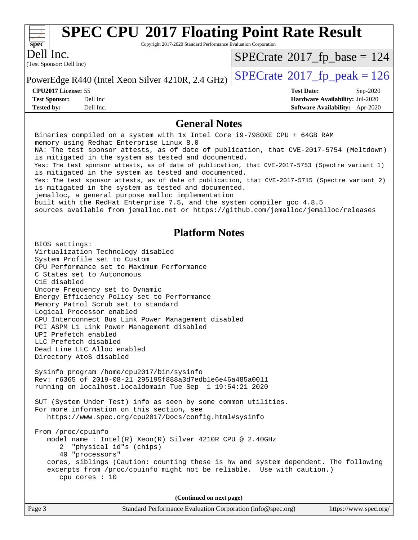

Copyright 2017-2020 Standard Performance Evaluation Corporation

(Test Sponsor: Dell Inc) Dell Inc.

 $SPECTate$ <sup>®</sup>[2017\\_fp\\_base =](http://www.spec.org/auto/cpu2017/Docs/result-fields.html#SPECrate2017fpbase) 124

PowerEdge R440 (Intel Xeon Silver 4210R, 2.4 GHz)  $\vert$  [SPECrate](http://www.spec.org/auto/cpu2017/Docs/result-fields.html#SPECrate2017fppeak)<sup>®</sup>[2017\\_fp\\_peak = 1](http://www.spec.org/auto/cpu2017/Docs/result-fields.html#SPECrate2017fppeak)26

**[CPU2017 License:](http://www.spec.org/auto/cpu2017/Docs/result-fields.html#CPU2017License)** 55 **[Test Date:](http://www.spec.org/auto/cpu2017/Docs/result-fields.html#TestDate)** Sep-2020

**[Test Sponsor:](http://www.spec.org/auto/cpu2017/Docs/result-fields.html#TestSponsor)** Dell Inc **[Hardware Availability:](http://www.spec.org/auto/cpu2017/Docs/result-fields.html#HardwareAvailability)** Jul-2020 **[Tested by:](http://www.spec.org/auto/cpu2017/Docs/result-fields.html#Testedby)** Dell Inc. **[Software Availability:](http://www.spec.org/auto/cpu2017/Docs/result-fields.html#SoftwareAvailability)** Apr-2020

#### **[General Notes](http://www.spec.org/auto/cpu2017/Docs/result-fields.html#GeneralNotes)**

 Binaries compiled on a system with 1x Intel Core i9-7980XE CPU + 64GB RAM memory using Redhat Enterprise Linux 8.0 NA: The test sponsor attests, as of date of publication, that CVE-2017-5754 (Meltdown) is mitigated in the system as tested and documented. Yes: The test sponsor attests, as of date of publication, that CVE-2017-5753 (Spectre variant 1) is mitigated in the system as tested and documented. Yes: The test sponsor attests, as of date of publication, that CVE-2017-5715 (Spectre variant 2) is mitigated in the system as tested and documented. jemalloc, a general purpose malloc implementation built with the RedHat Enterprise 7.5, and the system compiler gcc 4.8.5 sources available from jemalloc.net or<https://github.com/jemalloc/jemalloc/releases> **[Platform Notes](http://www.spec.org/auto/cpu2017/Docs/result-fields.html#PlatformNotes)** BIOS settings: Virtualization Technology disabled System Profile set to Custom CPU Performance set to Maximum Performance C States set to Autonomous C1E disabled Uncore Frequency set to Dynamic Energy Efficiency Policy set to Performance Memory Patrol Scrub set to standard Logical Processor enabled CPU Interconnect Bus Link Power Management disabled PCI ASPM L1 Link Power Management disabled UPI Prefetch enabled LLC Prefetch disabled Dead Line LLC Alloc enabled Directory AtoS disabled Sysinfo program /home/cpu2017/bin/sysinfo Rev: r6365 of 2019-08-21 295195f888a3d7edb1e6e46a485a0011 running on localhost.localdomain Tue Sep 1 19:54:21 2020 SUT (System Under Test) info as seen by some common utilities. For more information on this section, see <https://www.spec.org/cpu2017/Docs/config.html#sysinfo> From /proc/cpuinfo model name : Intel(R) Xeon(R) Silver 4210R CPU @ 2.40GHz 2 "physical id"s (chips) 40 "processors" cores, siblings (Caution: counting these is hw and system dependent. The following excerpts from /proc/cpuinfo might not be reliable. Use with caution.) cpu cores : 10 **(Continued on next page)**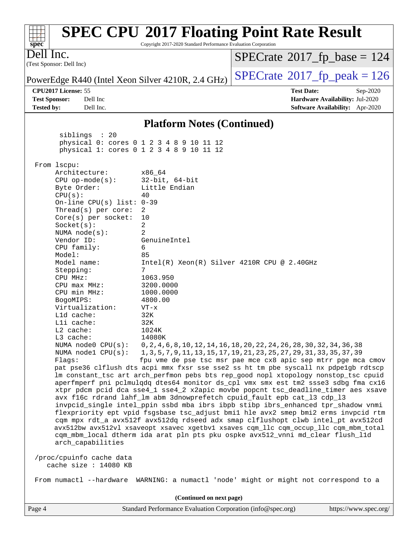| spec <sup>®</sup>                                                                                                                                                                                                                                                                                                                                                                                                                                                                                                                                  | Copyright 2017-2020 Standard Performance Evaluation Corporation                                                                                                                                                                                                        | <b>SPEC CPU®2017 Floating Point Rate Result</b>                                                                                                                                                                                                                                                                                                                                                                                                                                                                                                                                                                                                                                                                                                                                                                                                                                                                                                                                                                                                                                                                                                                                             |  |
|----------------------------------------------------------------------------------------------------------------------------------------------------------------------------------------------------------------------------------------------------------------------------------------------------------------------------------------------------------------------------------------------------------------------------------------------------------------------------------------------------------------------------------------------------|------------------------------------------------------------------------------------------------------------------------------------------------------------------------------------------------------------------------------------------------------------------------|---------------------------------------------------------------------------------------------------------------------------------------------------------------------------------------------------------------------------------------------------------------------------------------------------------------------------------------------------------------------------------------------------------------------------------------------------------------------------------------------------------------------------------------------------------------------------------------------------------------------------------------------------------------------------------------------------------------------------------------------------------------------------------------------------------------------------------------------------------------------------------------------------------------------------------------------------------------------------------------------------------------------------------------------------------------------------------------------------------------------------------------------------------------------------------------------|--|
| Dell Inc.<br>(Test Sponsor: Dell Inc)                                                                                                                                                                                                                                                                                                                                                                                                                                                                                                              |                                                                                                                                                                                                                                                                        | $SPECTate@2017_fp\_base = 124$                                                                                                                                                                                                                                                                                                                                                                                                                                                                                                                                                                                                                                                                                                                                                                                                                                                                                                                                                                                                                                                                                                                                                              |  |
| PowerEdge R440 (Intel Xeon Silver 4210R, 2.4 GHz)                                                                                                                                                                                                                                                                                                                                                                                                                                                                                                  |                                                                                                                                                                                                                                                                        | $SPECTate@2017_fp\_peak = 126$                                                                                                                                                                                                                                                                                                                                                                                                                                                                                                                                                                                                                                                                                                                                                                                                                                                                                                                                                                                                                                                                                                                                                              |  |
| CPU2017 License: 55<br><b>Test Sponsor:</b><br>Dell Inc<br><b>Tested by:</b><br>Dell Inc.                                                                                                                                                                                                                                                                                                                                                                                                                                                          |                                                                                                                                                                                                                                                                        | <b>Test Date:</b><br>Sep-2020<br>Hardware Availability: Jul-2020<br>Software Availability: Apr-2020                                                                                                                                                                                                                                                                                                                                                                                                                                                                                                                                                                                                                                                                                                                                                                                                                                                                                                                                                                                                                                                                                         |  |
|                                                                                                                                                                                                                                                                                                                                                                                                                                                                                                                                                    | <b>Platform Notes (Continued)</b>                                                                                                                                                                                                                                      |                                                                                                                                                                                                                                                                                                                                                                                                                                                                                                                                                                                                                                                                                                                                                                                                                                                                                                                                                                                                                                                                                                                                                                                             |  |
| siblings : 20                                                                                                                                                                                                                                                                                                                                                                                                                                                                                                                                      | physical 0: cores 0 1 2 3 4 8 9 10 11 12<br>physical 1: cores 0 1 2 3 4 8 9 10 11 12                                                                                                                                                                                   |                                                                                                                                                                                                                                                                                                                                                                                                                                                                                                                                                                                                                                                                                                                                                                                                                                                                                                                                                                                                                                                                                                                                                                                             |  |
| From lscpu:<br>Architecture:<br>$CPU$ op-mode( $s$ ):<br>Byte Order:<br>CPU(s):<br>On-line CPU(s) list: $0-39$<br>Thread( $s$ ) per core:<br>Core(s) per socket:<br>Socket(s):<br>NUMA $node(s):$<br>Vendor ID:<br>CPU family:<br>Model:<br>Model name:<br>Stepping:<br>CPU MHz:<br>$CPU$ max $MHz$ :<br>CPU min MHz:<br>BogoMIPS:<br>Virtualization:<br>L1d cache:<br>Lli cache:<br>$L2$ cache:<br>L3 cache:<br>NUMA $node0$ $CPU(s)$ :<br>NUMA nodel CPU(s):<br>Flagg:<br>arch_capabilities<br>/proc/cpuinfo cache data<br>cache size : 14080 KB | x86_64<br>$32$ -bit, $64$ -bit<br>Little Endian<br>40<br>2<br>10<br>2<br>$\overline{2}$<br>GenuineIntel<br>6<br>85<br>$Intel(R) Xeon(R) Silver 4210R CPU @ 2.40GHz$<br>7<br>1063.950<br>3200.0000<br>1000.0000<br>4800.00<br>$VT - x$<br>32K<br>32K<br>1024K<br>14080K | 0, 2, 4, 6, 8, 10, 12, 14, 16, 18, 20, 22, 24, 26, 28, 30, 32, 34, 36, 38<br>1, 3, 5, 7, 9, 11, 13, 15, 17, 19, 21, 23, 25, 27, 29, 31, 33, 35, 37, 39<br>fpu vme de pse tsc msr pae mce cx8 apic sep mtrr pge mca cmov<br>pat pse36 clflush dts acpi mmx fxsr sse sse2 ss ht tm pbe syscall nx pdpelgb rdtscp<br>lm constant_tsc art arch_perfmon pebs bts rep_good nopl xtopology nonstop_tsc cpuid<br>aperfmperf pni pclmulqdq dtes64 monitor ds_cpl vmx smx est tm2 ssse3 sdbg fma cx16<br>xtpr pdcm pcid dca sse4_1 sse4_2 x2apic movbe popcnt tsc_deadline_timer aes xsave<br>avx f16c rdrand lahf_lm abm 3dnowprefetch cpuid_fault epb cat_13 cdp_13<br>invpcid_single intel_ppin ssbd mba ibrs ibpb stibp ibrs_enhanced tpr_shadow vnmi<br>flexpriority ept vpid fsgsbase tsc_adjust bmil hle avx2 smep bmi2 erms invpcid rtm<br>cqm mpx rdt_a avx512f avx512dq rdseed adx smap clflushopt clwb intel_pt avx512cd<br>avx512bw avx512vl xsaveopt xsavec xgetbvl xsaves cqm_llc cqm_occup_llc cqm_mbm_total<br>cqm_mbm_local dtherm ida arat pln pts pku ospke avx512_vnni md_clear flush_l1d<br>From numactl --hardware WARNING: a numactl 'node' might or might not correspond to a |  |
|                                                                                                                                                                                                                                                                                                                                                                                                                                                                                                                                                    | (Continued on next page)                                                                                                                                                                                                                                               |                                                                                                                                                                                                                                                                                                                                                                                                                                                                                                                                                                                                                                                                                                                                                                                                                                                                                                                                                                                                                                                                                                                                                                                             |  |
| Page 4                                                                                                                                                                                                                                                                                                                                                                                                                                                                                                                                             | Standard Performance Evaluation Corporation (info@spec.org)                                                                                                                                                                                                            | https://www.spec.org/                                                                                                                                                                                                                                                                                                                                                                                                                                                                                                                                                                                                                                                                                                                                                                                                                                                                                                                                                                                                                                                                                                                                                                       |  |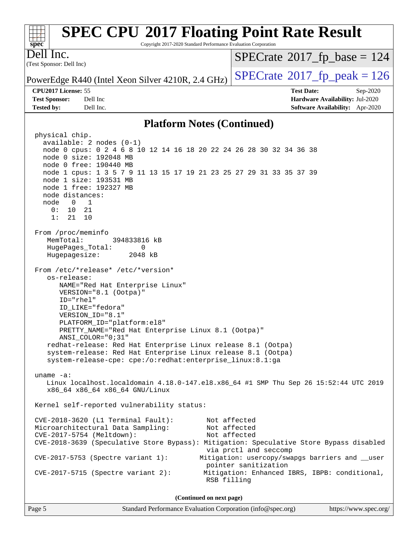#### **[SPEC CPU](http://www.spec.org/auto/cpu2017/Docs/result-fields.html#SPECCPU2017FloatingPointRateResult)[2017 Floating Point Rate Result](http://www.spec.org/auto/cpu2017/Docs/result-fields.html#SPECCPU2017FloatingPointRateResult)**  $+\ +$ **[spec](http://www.spec.org/)** Copyright 2017-2020 Standard Performance Evaluation Corporation Dell Inc.  $SPECTate$ <sup>®</sup>[2017\\_fp\\_base =](http://www.spec.org/auto/cpu2017/Docs/result-fields.html#SPECrate2017fpbase) 124 (Test Sponsor: Dell Inc) PowerEdge R440 (Intel Xeon Silver 4210R, 2.4 GHz)  $\vert$  [SPECrate](http://www.spec.org/auto/cpu2017/Docs/result-fields.html#SPECrate2017fppeak)<sup>®</sup>[2017\\_fp\\_peak = 1](http://www.spec.org/auto/cpu2017/Docs/result-fields.html#SPECrate2017fppeak)26 **[CPU2017 License:](http://www.spec.org/auto/cpu2017/Docs/result-fields.html#CPU2017License)** 55 **[Test Date:](http://www.spec.org/auto/cpu2017/Docs/result-fields.html#TestDate)** Sep-2020 **[Test Sponsor:](http://www.spec.org/auto/cpu2017/Docs/result-fields.html#TestSponsor)** Dell Inc **[Hardware Availability:](http://www.spec.org/auto/cpu2017/Docs/result-fields.html#HardwareAvailability)** Jul-2020 **[Tested by:](http://www.spec.org/auto/cpu2017/Docs/result-fields.html#Testedby)** Dell Inc. **[Software Availability:](http://www.spec.org/auto/cpu2017/Docs/result-fields.html#SoftwareAvailability)** Apr-2020 **[Platform Notes \(Continued\)](http://www.spec.org/auto/cpu2017/Docs/result-fields.html#PlatformNotes)** physical chip.

 available: 2 nodes (0-1) node 0 cpus: 0 2 4 6 8 10 12 14 16 18 20 22 24 26 28 30 32 34 36 38 node 0 size: 192048 MB node 0 free: 190440 MB node 1 cpus: 1 3 5 7 9 11 13 15 17 19 21 23 25 27 29 31 33 35 37 39 node 1 size: 193531 MB node 1 free: 192327 MB node distances: node 0 1 0: 10 21 1: 21 10 From /proc/meminfo MemTotal: 394833816 kB HugePages\_Total: 0 Hugepagesize: 2048 kB From /etc/\*release\* /etc/\*version\* os-release: NAME="Red Hat Enterprise Linux" VERSION="8.1 (Ootpa)" ID="rhel" ID\_LIKE="fedora" VERSION\_ID="8.1" PLATFORM\_ID="platform:el8" PRETTY\_NAME="Red Hat Enterprise Linux 8.1 (Ootpa)" ANSI\_COLOR="0;31" redhat-release: Red Hat Enterprise Linux release 8.1 (Ootpa) system-release: Red Hat Enterprise Linux release 8.1 (Ootpa) system-release-cpe: cpe:/o:redhat:enterprise\_linux:8.1:ga uname -a: Linux localhost.localdomain 4.18.0-147.el8.x86\_64 #1 SMP Thu Sep 26 15:52:44 UTC 2019 x86\_64 x86\_64 x86\_64 GNU/Linux Kernel self-reported vulnerability status: CVE-2018-3620 (L1 Terminal Fault): Not affected Microarchitectural Data Sampling: Not affected CVE-2017-5754 (Meltdown): Not affected CVE-2018-3639 (Speculative Store Bypass): Mitigation: Speculative Store Bypass disabled via prctl and seccomp CVE-2017-5753 (Spectre variant 1): Mitigation: usercopy/swapgs barriers and \_\_user pointer sanitization CVE-2017-5715 (Spectre variant 2): Mitigation: Enhanced IBRS, IBPB: conditional, RSB filling **(Continued on next page)**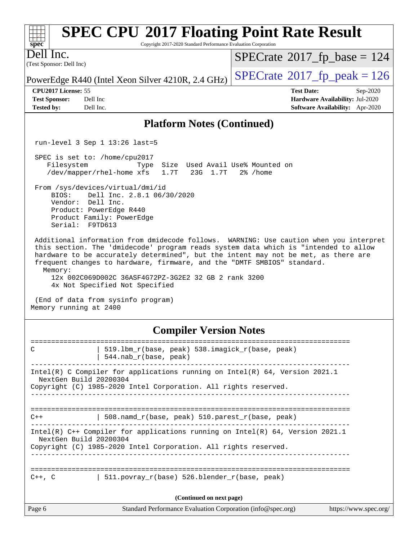| <b>SPEC CPU®2017 Floating Point Rate Result</b><br>Copyright 2017-2020 Standard Performance Evaluation Corporation<br>$spec^*$                                                                                                                                                                                                                                                                                                                                                                                                                                                                                                                                                                                                                                                                                 |                                                                                                     |  |  |  |
|----------------------------------------------------------------------------------------------------------------------------------------------------------------------------------------------------------------------------------------------------------------------------------------------------------------------------------------------------------------------------------------------------------------------------------------------------------------------------------------------------------------------------------------------------------------------------------------------------------------------------------------------------------------------------------------------------------------------------------------------------------------------------------------------------------------|-----------------------------------------------------------------------------------------------------|--|--|--|
| Dell Inc.<br>(Test Sponsor: Dell Inc)                                                                                                                                                                                                                                                                                                                                                                                                                                                                                                                                                                                                                                                                                                                                                                          | $SPECrate^{\circ}2017$ [p base = 124                                                                |  |  |  |
| PowerEdge R440 (Intel Xeon Silver 4210R, 2.4 GHz)                                                                                                                                                                                                                                                                                                                                                                                                                                                                                                                                                                                                                                                                                                                                                              | $SPECTate@2017fr peak = 126$                                                                        |  |  |  |
| CPU2017 License: 55<br><b>Test Sponsor:</b><br>Dell Inc<br><b>Tested by:</b><br>Dell Inc.                                                                                                                                                                                                                                                                                                                                                                                                                                                                                                                                                                                                                                                                                                                      | <b>Test Date:</b><br>Sep-2020<br>Hardware Availability: Jul-2020<br>Software Availability: Apr-2020 |  |  |  |
| <b>Platform Notes (Continued)</b>                                                                                                                                                                                                                                                                                                                                                                                                                                                                                                                                                                                                                                                                                                                                                                              |                                                                                                     |  |  |  |
| run-level 3 Sep $1$ 13:26 last=5                                                                                                                                                                                                                                                                                                                                                                                                                                                                                                                                                                                                                                                                                                                                                                               |                                                                                                     |  |  |  |
| SPEC is set to: /home/cpu2017<br>Filesystem<br>Size<br>Type<br>/dev/mapper/rhel-home xfs<br>1.7T<br>23G 1.7T<br>From /sys/devices/virtual/dmi/id<br>Dell Inc. 2.8.1 06/30/2020<br>BIOS:<br>Vendor: Dell Inc.<br>Product: PowerEdge R440<br>Product Family: PowerEdge<br>Serial: F9TD613<br>Additional information from dmidecode follows. WARNING: Use caution when you interpret<br>this section. The 'dmidecode' program reads system data which is "intended to allow<br>hardware to be accurately determined", but the intent may not be met, as there are<br>frequent changes to hardware, firmware, and the "DMTF SMBIOS" standard.<br>Memory:<br>12x 002C069D002C 36ASF4G72PZ-3G2E2 32 GB 2 rank 3200<br>4x Not Specified Not Specified<br>(End of data from sysinfo program)<br>Memory running at 2400 | Used Avail Use% Mounted on<br>$2\%$ /home                                                           |  |  |  |
| <b>Compiler Version Notes</b>                                                                                                                                                                                                                                                                                                                                                                                                                                                                                                                                                                                                                                                                                                                                                                                  |                                                                                                     |  |  |  |
| 519.1bm_r(base, peak) 538.imagick_r(base, peak)<br>С<br>$544$ .nab $r(base, peak)$                                                                                                                                                                                                                                                                                                                                                                                                                                                                                                                                                                                                                                                                                                                             |                                                                                                     |  |  |  |
| Intel(R) C Compiler for applications running on Intel(R) 64, Version 2021.1<br>NextGen Build 20200304<br>Copyright (C) 1985-2020 Intel Corporation. All rights reserved.                                                                                                                                                                                                                                                                                                                                                                                                                                                                                                                                                                                                                                       |                                                                                                     |  |  |  |
| 508.namd_r(base, peak) 510.parest_r(base, peak)<br>$C++$                                                                                                                                                                                                                                                                                                                                                                                                                                                                                                                                                                                                                                                                                                                                                       |                                                                                                     |  |  |  |
| Intel(R) $C++$ Compiler for applications running on Intel(R) 64, Version 2021.1<br>NextGen Build 20200304<br>Copyright (C) 1985-2020 Intel Corporation. All rights reserved.                                                                                                                                                                                                                                                                                                                                                                                                                                                                                                                                                                                                                                   |                                                                                                     |  |  |  |
| $511.povray_r(base) 526.blender_r(base, peak)$<br>$C++$ , $C$                                                                                                                                                                                                                                                                                                                                                                                                                                                                                                                                                                                                                                                                                                                                                  |                                                                                                     |  |  |  |
| (Continued on next page)                                                                                                                                                                                                                                                                                                                                                                                                                                                                                                                                                                                                                                                                                                                                                                                       |                                                                                                     |  |  |  |
| Page 6<br>Standard Performance Evaluation Corporation (info@spec.org)                                                                                                                                                                                                                                                                                                                                                                                                                                                                                                                                                                                                                                                                                                                                          | https://www.spec.org/                                                                               |  |  |  |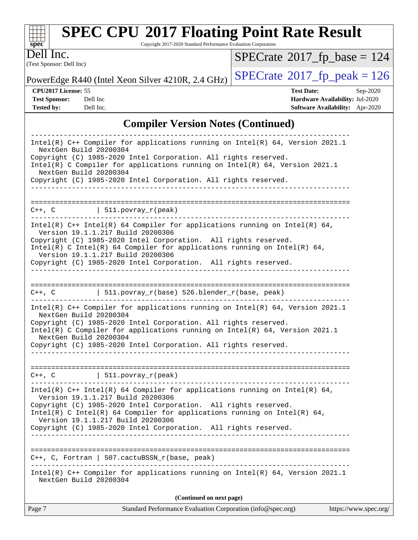

Copyright 2017-2020 Standard Performance Evaluation Corporation

(Test Sponsor: Dell Inc) Dell Inc.

 $SPECrate$ <sup>®</sup>[2017\\_fp\\_base =](http://www.spec.org/auto/cpu2017/Docs/result-fields.html#SPECrate2017fpbase) 124

PowerEdge R440 (Intel Xeon Silver 4210R, 2.4 GHz)  $\left|$  [SPECrate](http://www.spec.org/auto/cpu2017/Docs/result-fields.html#SPECrate2017fppeak)®[2017\\_fp\\_peak = 1](http://www.spec.org/auto/cpu2017/Docs/result-fields.html#SPECrate2017fppeak)26

**[CPU2017 License:](http://www.spec.org/auto/cpu2017/Docs/result-fields.html#CPU2017License)** 55 **[Test Date:](http://www.spec.org/auto/cpu2017/Docs/result-fields.html#TestDate)** Sep-2020 **[Test Sponsor:](http://www.spec.org/auto/cpu2017/Docs/result-fields.html#TestSponsor)** Dell Inc **[Hardware Availability:](http://www.spec.org/auto/cpu2017/Docs/result-fields.html#HardwareAvailability)** Jul-2020 **[Tested by:](http://www.spec.org/auto/cpu2017/Docs/result-fields.html#Testedby)** Dell Inc. **[Software Availability:](http://www.spec.org/auto/cpu2017/Docs/result-fields.html#SoftwareAvailability)** Apr-2020

### **[Compiler Version Notes \(Continued\)](http://www.spec.org/auto/cpu2017/Docs/result-fields.html#CompilerVersionNotes)**

| Page 7                                           | Standard Performance Evaluation Corporation (info@spec.org)                                                                                                                                                                                                                                                                                                              | https://www.spec.org/ |
|--------------------------------------------------|--------------------------------------------------------------------------------------------------------------------------------------------------------------------------------------------------------------------------------------------------------------------------------------------------------------------------------------------------------------------------|-----------------------|
|                                                  | (Continued on next page)                                                                                                                                                                                                                                                                                                                                                 |                       |
| NextGen Build 20200304                           | Intel(R) C++ Compiler for applications running on Intel(R) $64$ , Version 2021.1                                                                                                                                                                                                                                                                                         |                       |
|                                                  | $C++$ , C, Fortran   507.cactuBSSN_r(base, peak)                                                                                                                                                                                                                                                                                                                         |                       |
|                                                  | Intel(R) $C++$ Intel(R) 64 Compiler for applications running on Intel(R) 64,<br>Version 19.1.1.217 Build 20200306<br>Copyright (C) 1985-2020 Intel Corporation. All rights reserved.<br>Intel(R) C Intel(R) 64 Compiler for applications running on Intel(R) 64,<br>Version 19.1.1.217 Build 20200306<br>Copyright (C) 1985-2020 Intel Corporation. All rights reserved. |                       |
|                                                  | $C++$ , C $\qquad \qquad$ 511.povray_r(peak)<br>---------------------------                                                                                                                                                                                                                                                                                              |                       |
| NextGen Build 20200304<br>NextGen Build 20200304 | Intel(R) $C++$ Compiler for applications running on Intel(R) 64, Version 2021.1<br>Copyright (C) 1985-2020 Intel Corporation. All rights reserved.<br>Intel(R) C Compiler for applications running on Intel(R) 64, Version 2021.1<br>Copyright (C) 1985-2020 Intel Corporation. All rights reserved.                                                                     |                       |
|                                                  | $C++$ , C $\qquad$   511.povray_r(base) 526.blender_r(base, peak)                                                                                                                                                                                                                                                                                                        |                       |
|                                                  | Intel(R) $C++$ Intel(R) 64 Compiler for applications running on Intel(R) 64,<br>Version 19.1.1.217 Build 20200306<br>Copyright (C) 1985-2020 Intel Corporation. All rights reserved.<br>Intel(R) C Intel(R) 64 Compiler for applications running on Intel(R) 64,<br>Version 19.1.1.217 Build 20200306<br>Copyright (C) 1985-2020 Intel Corporation. All rights reserved. |                       |
|                                                  | $C++$ , $C$   511.povray_r(peak)                                                                                                                                                                                                                                                                                                                                         |                       |
|                                                  | ____________________________________                                                                                                                                                                                                                                                                                                                                     |                       |
| NextGen Build 20200304<br>NextGen Build 20200304 | Copyright (C) 1985-2020 Intel Corporation. All rights reserved.<br>Intel(R) C Compiler for applications running on Intel(R) $64$ , Version 2021.1<br>Copyright (C) 1985-2020 Intel Corporation. All rights reserved.                                                                                                                                                     |                       |
|                                                  | Intel(R) $C++$ Compiler for applications running on Intel(R) 64, Version 2021.1                                                                                                                                                                                                                                                                                          |                       |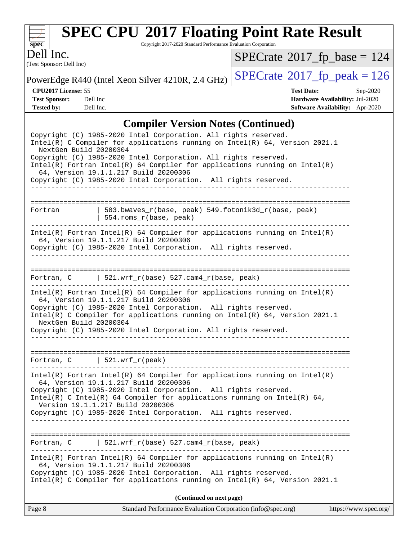

Copyright 2017-2020 Standard Performance Evaluation Corporation

(Test Sponsor: Dell Inc) Dell Inc.

 $SPECrate$ <sup>®</sup>[2017\\_fp\\_base =](http://www.spec.org/auto/cpu2017/Docs/result-fields.html#SPECrate2017fpbase) 124

PowerEdge R440 (Intel Xeon Silver 4210R, 2.4 GHz)  $\left|$  [SPECrate](http://www.spec.org/auto/cpu2017/Docs/result-fields.html#SPECrate2017fppeak)®[2017\\_fp\\_peak = 1](http://www.spec.org/auto/cpu2017/Docs/result-fields.html#SPECrate2017fppeak)26

**[CPU2017 License:](http://www.spec.org/auto/cpu2017/Docs/result-fields.html#CPU2017License)** 55 **[Test Date:](http://www.spec.org/auto/cpu2017/Docs/result-fields.html#TestDate)** Sep-2020 **[Test Sponsor:](http://www.spec.org/auto/cpu2017/Docs/result-fields.html#TestSponsor)** Dell Inc **[Hardware Availability:](http://www.spec.org/auto/cpu2017/Docs/result-fields.html#HardwareAvailability)** Jul-2020 **[Tested by:](http://www.spec.org/auto/cpu2017/Docs/result-fields.html#Testedby)** Dell Inc. **[Software Availability:](http://www.spec.org/auto/cpu2017/Docs/result-fields.html#SoftwareAvailability)** Apr-2020

### **[Compiler Version Notes \(Continued\)](http://www.spec.org/auto/cpu2017/Docs/result-fields.html#CompilerVersionNotes)**

|                        | Copyright (C) 1985-2020 Intel Corporation. All rights reserved.<br>Intel(R) C Compiler for applications running on Intel(R) $64$ , Version 2021.1 |                       |  |  |  |  |
|------------------------|---------------------------------------------------------------------------------------------------------------------------------------------------|-----------------------|--|--|--|--|
| NextGen Build 20200304 |                                                                                                                                                   |                       |  |  |  |  |
|                        | Copyright (C) 1985-2020 Intel Corporation. All rights reserved.                                                                                   |                       |  |  |  |  |
|                        | $Intel(R)$ Fortran Intel(R) 64 Compiler for applications running on Intel(R)                                                                      |                       |  |  |  |  |
|                        | 64, Version 19.1.1.217 Build 20200306<br>Copyright (C) 1985-2020 Intel Corporation. All rights reserved.                                          |                       |  |  |  |  |
|                        | ________________________________                                                                                                                  |                       |  |  |  |  |
|                        |                                                                                                                                                   |                       |  |  |  |  |
| Fortran                | 503.bwaves_r(base, peak) 549.fotonik3d_r(base, peak)<br>$554.rows_r(base, peak)$                                                                  |                       |  |  |  |  |
|                        | $Intel(R)$ Fortran Intel(R) 64 Compiler for applications running on Intel(R)                                                                      |                       |  |  |  |  |
|                        | 64, Version 19.1.1.217 Build 20200306                                                                                                             |                       |  |  |  |  |
|                        | Copyright (C) 1985-2020 Intel Corporation. All rights reserved.                                                                                   |                       |  |  |  |  |
|                        |                                                                                                                                                   |                       |  |  |  |  |
|                        | Fortran, $C$   521.wrf_r(base) 527.cam4_r(base, peak)                                                                                             |                       |  |  |  |  |
|                        |                                                                                                                                                   |                       |  |  |  |  |
|                        | $Intel(R)$ Fortran Intel(R) 64 Compiler for applications running on Intel(R)<br>64, Version 19.1.1.217 Build 20200306                             |                       |  |  |  |  |
|                        | Copyright (C) 1985-2020 Intel Corporation. All rights reserved.                                                                                   |                       |  |  |  |  |
|                        | Intel(R) C Compiler for applications running on $Intel(R) 64$ , Version 2021.1                                                                    |                       |  |  |  |  |
| NextGen Build 20200304 |                                                                                                                                                   |                       |  |  |  |  |
|                        | Copyright (C) 1985-2020 Intel Corporation. All rights reserved.                                                                                   |                       |  |  |  |  |
|                        |                                                                                                                                                   |                       |  |  |  |  |
|                        | Fortran, $C$   521.wrf_r(peak)                                                                                                                    |                       |  |  |  |  |
| ---------------        |                                                                                                                                                   |                       |  |  |  |  |
|                        | $Intel(R)$ Fortran Intel(R) 64 Compiler for applications running on Intel(R)                                                                      |                       |  |  |  |  |
|                        | 64, Version 19.1.1.217 Build 20200306<br>Copyright (C) 1985-2020 Intel Corporation. All rights reserved.                                          |                       |  |  |  |  |
|                        | $Intel(R)$ C Intel(R) 64 Compiler for applications running on Intel(R) 64,                                                                        |                       |  |  |  |  |
|                        | Version 19.1.1.217 Build 20200306                                                                                                                 |                       |  |  |  |  |
|                        | Copyright (C) 1985-2020 Intel Corporation. All rights reserved.                                                                                   |                       |  |  |  |  |
|                        |                                                                                                                                                   |                       |  |  |  |  |
|                        | Fortran, C $521.wrf_r(base) 527.cam4_r(base, peak)$                                                                                               |                       |  |  |  |  |
|                        |                                                                                                                                                   |                       |  |  |  |  |
|                        | $Intel(R)$ Fortran Intel(R) 64 Compiler for applications running on Intel(R)                                                                      |                       |  |  |  |  |
|                        | 64, Version 19.1.1.217 Build 20200306<br>Copyright (C) 1985-2020 Intel Corporation. All rights reserved.                                          |                       |  |  |  |  |
|                        | Intel(R) C Compiler for applications running on Intel(R) 64, Version 2021.1                                                                       |                       |  |  |  |  |
|                        |                                                                                                                                                   |                       |  |  |  |  |
|                        | (Continued on next page)                                                                                                                          |                       |  |  |  |  |
| Page 8                 | Standard Performance Evaluation Corporation (info@spec.org)                                                                                       | https://www.spec.org/ |  |  |  |  |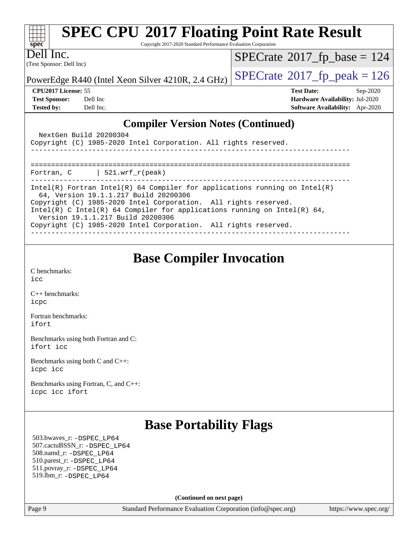| <b>SPEC CPU®2017 Floating Point Rate Result</b><br>$spec^*$<br>Copyright 2017-2020 Standard Performance Evaluation Corporation |                                        |  |  |  |  |
|--------------------------------------------------------------------------------------------------------------------------------|----------------------------------------|--|--|--|--|
| Dell Inc.<br>(Test Sponsor: Dell Inc)                                                                                          | $SPECrate^{\circ}2017_fp\_base = 124$  |  |  |  |  |
| PowerEdge R440 (Intel Xeon Silver 4210R, 2.4 GHz)                                                                              | $SPECTate@2017_fp\_peak = 126$         |  |  |  |  |
| <b>CPU2017 License: 55</b>                                                                                                     | <b>Test Date:</b><br>$Sep-2020$        |  |  |  |  |
| <b>Test Sponsor:</b><br>Dell Inc                                                                                               | <b>Hardware Availability: Jul-2020</b> |  |  |  |  |
| <b>Tested by:</b><br>Dell Inc.                                                                                                 | <b>Software Availability:</b> Apr-2020 |  |  |  |  |
| <b>Compiler Version Notes (Continued)</b>                                                                                      |                                        |  |  |  |  |
| NextGen Build 20200304<br>Copyright (C) 1985-2020 Intel Corporation. All rights reserved.                                      |                                        |  |  |  |  |
|                                                                                                                                |                                        |  |  |  |  |

| Fortran, $C$   521.wrf $r(\text{peak})$                                                                             |
|---------------------------------------------------------------------------------------------------------------------|
| Intel(R) Fortran Intel(R) 64 Compiler for applications running on Intel(R)<br>64, Version 19.1.1.217 Build 20200306 |
| Copyright (C) 1985-2020 Intel Corporation. All rights reserved.                                                     |
| Intel(R) C Intel(R) 64 Compiler for applications running on Intel(R) 64,<br>Version 19.1.1.217 Build 20200306       |
| Copyright (C) 1985-2020 Intel Corporation. All rights reserved.                                                     |

## **[Base Compiler Invocation](http://www.spec.org/auto/cpu2017/Docs/result-fields.html#BaseCompilerInvocation)**

[C benchmarks](http://www.spec.org/auto/cpu2017/Docs/result-fields.html#Cbenchmarks): [icc](http://www.spec.org/cpu2017/results/res2020q4/cpu2017-20200928-24070.flags.html#user_CCbase_intel_icc_66fc1ee009f7361af1fbd72ca7dcefbb700085f36577c54f309893dd4ec40d12360134090235512931783d35fd58c0460139e722d5067c5574d8eaf2b3e37e92)

[C++ benchmarks:](http://www.spec.org/auto/cpu2017/Docs/result-fields.html#CXXbenchmarks) [icpc](http://www.spec.org/cpu2017/results/res2020q4/cpu2017-20200928-24070.flags.html#user_CXXbase_intel_icpc_c510b6838c7f56d33e37e94d029a35b4a7bccf4766a728ee175e80a419847e808290a9b78be685c44ab727ea267ec2f070ec5dc83b407c0218cded6866a35d07)

[Fortran benchmarks](http://www.spec.org/auto/cpu2017/Docs/result-fields.html#Fortranbenchmarks): [ifort](http://www.spec.org/cpu2017/results/res2020q4/cpu2017-20200928-24070.flags.html#user_FCbase_intel_ifort_8111460550e3ca792625aed983ce982f94888b8b503583aa7ba2b8303487b4d8a21a13e7191a45c5fd58ff318f48f9492884d4413fa793fd88dd292cad7027ca)

[Benchmarks using both Fortran and C](http://www.spec.org/auto/cpu2017/Docs/result-fields.html#BenchmarksusingbothFortranandC): [ifort](http://www.spec.org/cpu2017/results/res2020q4/cpu2017-20200928-24070.flags.html#user_CC_FCbase_intel_ifort_8111460550e3ca792625aed983ce982f94888b8b503583aa7ba2b8303487b4d8a21a13e7191a45c5fd58ff318f48f9492884d4413fa793fd88dd292cad7027ca) [icc](http://www.spec.org/cpu2017/results/res2020q4/cpu2017-20200928-24070.flags.html#user_CC_FCbase_intel_icc_66fc1ee009f7361af1fbd72ca7dcefbb700085f36577c54f309893dd4ec40d12360134090235512931783d35fd58c0460139e722d5067c5574d8eaf2b3e37e92)

[Benchmarks using both C and C++](http://www.spec.org/auto/cpu2017/Docs/result-fields.html#BenchmarksusingbothCandCXX): [icpc](http://www.spec.org/cpu2017/results/res2020q4/cpu2017-20200928-24070.flags.html#user_CC_CXXbase_intel_icpc_c510b6838c7f56d33e37e94d029a35b4a7bccf4766a728ee175e80a419847e808290a9b78be685c44ab727ea267ec2f070ec5dc83b407c0218cded6866a35d07) [icc](http://www.spec.org/cpu2017/results/res2020q4/cpu2017-20200928-24070.flags.html#user_CC_CXXbase_intel_icc_66fc1ee009f7361af1fbd72ca7dcefbb700085f36577c54f309893dd4ec40d12360134090235512931783d35fd58c0460139e722d5067c5574d8eaf2b3e37e92)

[Benchmarks using Fortran, C, and C++:](http://www.spec.org/auto/cpu2017/Docs/result-fields.html#BenchmarksusingFortranCandCXX) [icpc](http://www.spec.org/cpu2017/results/res2020q4/cpu2017-20200928-24070.flags.html#user_CC_CXX_FCbase_intel_icpc_c510b6838c7f56d33e37e94d029a35b4a7bccf4766a728ee175e80a419847e808290a9b78be685c44ab727ea267ec2f070ec5dc83b407c0218cded6866a35d07) [icc](http://www.spec.org/cpu2017/results/res2020q4/cpu2017-20200928-24070.flags.html#user_CC_CXX_FCbase_intel_icc_66fc1ee009f7361af1fbd72ca7dcefbb700085f36577c54f309893dd4ec40d12360134090235512931783d35fd58c0460139e722d5067c5574d8eaf2b3e37e92) [ifort](http://www.spec.org/cpu2017/results/res2020q4/cpu2017-20200928-24070.flags.html#user_CC_CXX_FCbase_intel_ifort_8111460550e3ca792625aed983ce982f94888b8b503583aa7ba2b8303487b4d8a21a13e7191a45c5fd58ff318f48f9492884d4413fa793fd88dd292cad7027ca)

## **[Base Portability Flags](http://www.spec.org/auto/cpu2017/Docs/result-fields.html#BasePortabilityFlags)**

 503.bwaves\_r: [-DSPEC\\_LP64](http://www.spec.org/cpu2017/results/res2020q4/cpu2017-20200928-24070.flags.html#suite_basePORTABILITY503_bwaves_r_DSPEC_LP64) 507.cactuBSSN\_r: [-DSPEC\\_LP64](http://www.spec.org/cpu2017/results/res2020q4/cpu2017-20200928-24070.flags.html#suite_basePORTABILITY507_cactuBSSN_r_DSPEC_LP64) 508.namd\_r: [-DSPEC\\_LP64](http://www.spec.org/cpu2017/results/res2020q4/cpu2017-20200928-24070.flags.html#suite_basePORTABILITY508_namd_r_DSPEC_LP64) 510.parest\_r: [-DSPEC\\_LP64](http://www.spec.org/cpu2017/results/res2020q4/cpu2017-20200928-24070.flags.html#suite_basePORTABILITY510_parest_r_DSPEC_LP64) 511.povray\_r: [-DSPEC\\_LP64](http://www.spec.org/cpu2017/results/res2020q4/cpu2017-20200928-24070.flags.html#suite_basePORTABILITY511_povray_r_DSPEC_LP64) 519.lbm\_r: [-DSPEC\\_LP64](http://www.spec.org/cpu2017/results/res2020q4/cpu2017-20200928-24070.flags.html#suite_basePORTABILITY519_lbm_r_DSPEC_LP64)

**(Continued on next page)**

Page 9 Standard Performance Evaluation Corporation [\(info@spec.org\)](mailto:info@spec.org) <https://www.spec.org/>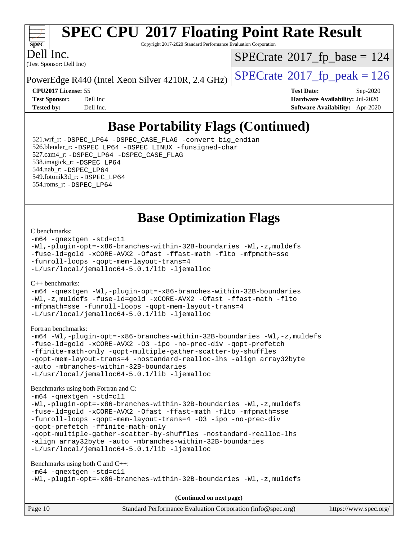

Copyright 2017-2020 Standard Performance Evaluation Corporation

Dell Inc.

(Test Sponsor: Dell Inc)

 $SPECTate$ <sup>®</sup>[2017\\_fp\\_base =](http://www.spec.org/auto/cpu2017/Docs/result-fields.html#SPECrate2017fpbase) 124

PowerEdge R440 (Intel Xeon Silver 4210R, 2.4 GHz)  $\left|$  [SPECrate](http://www.spec.org/auto/cpu2017/Docs/result-fields.html#SPECrate2017fppeak)<sup>®</sup>[2017\\_fp\\_peak = 1](http://www.spec.org/auto/cpu2017/Docs/result-fields.html#SPECrate2017fppeak)26

**[CPU2017 License:](http://www.spec.org/auto/cpu2017/Docs/result-fields.html#CPU2017License)** 55 **[Test Date:](http://www.spec.org/auto/cpu2017/Docs/result-fields.html#TestDate)** Sep-2020 **[Test Sponsor:](http://www.spec.org/auto/cpu2017/Docs/result-fields.html#TestSponsor)** Dell Inc **[Hardware Availability:](http://www.spec.org/auto/cpu2017/Docs/result-fields.html#HardwareAvailability)** Jul-2020 **[Tested by:](http://www.spec.org/auto/cpu2017/Docs/result-fields.html#Testedby)** Dell Inc. **[Software Availability:](http://www.spec.org/auto/cpu2017/Docs/result-fields.html#SoftwareAvailability)** Apr-2020

## **[Base Portability Flags \(Continued\)](http://www.spec.org/auto/cpu2017/Docs/result-fields.html#BasePortabilityFlags)**

 521.wrf\_r: [-DSPEC\\_LP64](http://www.spec.org/cpu2017/results/res2020q4/cpu2017-20200928-24070.flags.html#suite_basePORTABILITY521_wrf_r_DSPEC_LP64) [-DSPEC\\_CASE\\_FLAG](http://www.spec.org/cpu2017/results/res2020q4/cpu2017-20200928-24070.flags.html#b521.wrf_r_baseCPORTABILITY_DSPEC_CASE_FLAG) [-convert big\\_endian](http://www.spec.org/cpu2017/results/res2020q4/cpu2017-20200928-24070.flags.html#user_baseFPORTABILITY521_wrf_r_convert_big_endian_c3194028bc08c63ac5d04de18c48ce6d347e4e562e8892b8bdbdc0214820426deb8554edfa529a3fb25a586e65a3d812c835984020483e7e73212c4d31a38223) 526.blender\_r: [-DSPEC\\_LP64](http://www.spec.org/cpu2017/results/res2020q4/cpu2017-20200928-24070.flags.html#suite_basePORTABILITY526_blender_r_DSPEC_LP64) [-DSPEC\\_LINUX](http://www.spec.org/cpu2017/results/res2020q4/cpu2017-20200928-24070.flags.html#b526.blender_r_baseCPORTABILITY_DSPEC_LINUX) [-funsigned-char](http://www.spec.org/cpu2017/results/res2020q4/cpu2017-20200928-24070.flags.html#user_baseCPORTABILITY526_blender_r_force_uchar_40c60f00ab013830e2dd6774aeded3ff59883ba5a1fc5fc14077f794d777847726e2a5858cbc7672e36e1b067e7e5c1d9a74f7176df07886a243d7cc18edfe67) 527.cam4\_r: [-DSPEC\\_LP64](http://www.spec.org/cpu2017/results/res2020q4/cpu2017-20200928-24070.flags.html#suite_basePORTABILITY527_cam4_r_DSPEC_LP64) [-DSPEC\\_CASE\\_FLAG](http://www.spec.org/cpu2017/results/res2020q4/cpu2017-20200928-24070.flags.html#b527.cam4_r_baseCPORTABILITY_DSPEC_CASE_FLAG) 538.imagick\_r: [-DSPEC\\_LP64](http://www.spec.org/cpu2017/results/res2020q4/cpu2017-20200928-24070.flags.html#suite_basePORTABILITY538_imagick_r_DSPEC_LP64) 544.nab\_r: [-DSPEC\\_LP64](http://www.spec.org/cpu2017/results/res2020q4/cpu2017-20200928-24070.flags.html#suite_basePORTABILITY544_nab_r_DSPEC_LP64) 549.fotonik3d\_r: [-DSPEC\\_LP64](http://www.spec.org/cpu2017/results/res2020q4/cpu2017-20200928-24070.flags.html#suite_basePORTABILITY549_fotonik3d_r_DSPEC_LP64) 554.roms\_r: [-DSPEC\\_LP64](http://www.spec.org/cpu2017/results/res2020q4/cpu2017-20200928-24070.flags.html#suite_basePORTABILITY554_roms_r_DSPEC_LP64)

**[Base Optimization Flags](http://www.spec.org/auto/cpu2017/Docs/result-fields.html#BaseOptimizationFlags)**

#### [C benchmarks](http://www.spec.org/auto/cpu2017/Docs/result-fields.html#Cbenchmarks):

[-m64](http://www.spec.org/cpu2017/results/res2020q4/cpu2017-20200928-24070.flags.html#user_CCbase_m64-icc) [-qnextgen](http://www.spec.org/cpu2017/results/res2020q4/cpu2017-20200928-24070.flags.html#user_CCbase_f-qnextgen) [-std=c11](http://www.spec.org/cpu2017/results/res2020q4/cpu2017-20200928-24070.flags.html#user_CCbase_std-icc-std_0e1c27790398a4642dfca32ffe6c27b5796f9c2d2676156f2e42c9c44eaad0c049b1cdb667a270c34d979996257aeb8fc440bfb01818dbc9357bd9d174cb8524) [-Wl,-plugin-opt=-x86-branches-within-32B-boundaries](http://www.spec.org/cpu2017/results/res2020q4/cpu2017-20200928-24070.flags.html#user_CCbase_f-x86-branches-within-32B-boundaries_0098b4e4317ae60947b7b728078a624952a08ac37a3c797dfb4ffeb399e0c61a9dd0f2f44ce917e9361fb9076ccb15e7824594512dd315205382d84209e912f3) [-Wl,-z,muldefs](http://www.spec.org/cpu2017/results/res2020q4/cpu2017-20200928-24070.flags.html#user_CCbase_link_force_multiple1_b4cbdb97b34bdee9ceefcfe54f4c8ea74255f0b02a4b23e853cdb0e18eb4525ac79b5a88067c842dd0ee6996c24547a27a4b99331201badda8798ef8a743f577) [-fuse-ld=gold](http://www.spec.org/cpu2017/results/res2020q4/cpu2017-20200928-24070.flags.html#user_CCbase_f-fuse-ld_920b3586e2b8c6e0748b9c84fa9b744736ba725a32cab14ad8f3d4ad28eecb2f59d1144823d2e17006539a88734fe1fc08fc3035f7676166309105a78aaabc32) [-xCORE-AVX2](http://www.spec.org/cpu2017/results/res2020q4/cpu2017-20200928-24070.flags.html#user_CCbase_f-xCORE-AVX2) [-Ofast](http://www.spec.org/cpu2017/results/res2020q4/cpu2017-20200928-24070.flags.html#user_CCbase_f-Ofast) [-ffast-math](http://www.spec.org/cpu2017/results/res2020q4/cpu2017-20200928-24070.flags.html#user_CCbase_f-ffast-math) [-flto](http://www.spec.org/cpu2017/results/res2020q4/cpu2017-20200928-24070.flags.html#user_CCbase_f-flto) [-mfpmath=sse](http://www.spec.org/cpu2017/results/res2020q4/cpu2017-20200928-24070.flags.html#user_CCbase_f-mfpmath_70eb8fac26bde974f8ab713bc9086c5621c0b8d2f6c86f38af0bd7062540daf19db5f3a066d8c6684be05d84c9b6322eb3b5be6619d967835195b93d6c02afa1) [-funroll-loops](http://www.spec.org/cpu2017/results/res2020q4/cpu2017-20200928-24070.flags.html#user_CCbase_f-funroll-loops) [-qopt-mem-layout-trans=4](http://www.spec.org/cpu2017/results/res2020q4/cpu2017-20200928-24070.flags.html#user_CCbase_f-qopt-mem-layout-trans_fa39e755916c150a61361b7846f310bcdf6f04e385ef281cadf3647acec3f0ae266d1a1d22d972a7087a248fd4e6ca390a3634700869573d231a252c784941a8) [-L/usr/local/jemalloc64-5.0.1/lib](http://www.spec.org/cpu2017/results/res2020q4/cpu2017-20200928-24070.flags.html#user_CCbase_jemalloc_link_path64_1_cc289568b1a6c0fd3b62c91b824c27fcb5af5e8098e6ad028160d21144ef1b8aef3170d2acf0bee98a8da324cfe4f67d0a3d0c4cc4673d993d694dc2a0df248b) [-ljemalloc](http://www.spec.org/cpu2017/results/res2020q4/cpu2017-20200928-24070.flags.html#user_CCbase_jemalloc_link_lib_d1249b907c500fa1c0672f44f562e3d0f79738ae9e3c4a9c376d49f265a04b9c99b167ecedbf6711b3085be911c67ff61f150a17b3472be731631ba4d0471706)

#### [C++ benchmarks:](http://www.spec.org/auto/cpu2017/Docs/result-fields.html#CXXbenchmarks)

[-m64](http://www.spec.org/cpu2017/results/res2020q4/cpu2017-20200928-24070.flags.html#user_CXXbase_m64-icc) [-qnextgen](http://www.spec.org/cpu2017/results/res2020q4/cpu2017-20200928-24070.flags.html#user_CXXbase_f-qnextgen) [-Wl,-plugin-opt=-x86-branches-within-32B-boundaries](http://www.spec.org/cpu2017/results/res2020q4/cpu2017-20200928-24070.flags.html#user_CXXbase_f-x86-branches-within-32B-boundaries_0098b4e4317ae60947b7b728078a624952a08ac37a3c797dfb4ffeb399e0c61a9dd0f2f44ce917e9361fb9076ccb15e7824594512dd315205382d84209e912f3) [-Wl,-z,muldefs](http://www.spec.org/cpu2017/results/res2020q4/cpu2017-20200928-24070.flags.html#user_CXXbase_link_force_multiple1_b4cbdb97b34bdee9ceefcfe54f4c8ea74255f0b02a4b23e853cdb0e18eb4525ac79b5a88067c842dd0ee6996c24547a27a4b99331201badda8798ef8a743f577) [-fuse-ld=gold](http://www.spec.org/cpu2017/results/res2020q4/cpu2017-20200928-24070.flags.html#user_CXXbase_f-fuse-ld_920b3586e2b8c6e0748b9c84fa9b744736ba725a32cab14ad8f3d4ad28eecb2f59d1144823d2e17006539a88734fe1fc08fc3035f7676166309105a78aaabc32) [-xCORE-AVX2](http://www.spec.org/cpu2017/results/res2020q4/cpu2017-20200928-24070.flags.html#user_CXXbase_f-xCORE-AVX2) [-Ofast](http://www.spec.org/cpu2017/results/res2020q4/cpu2017-20200928-24070.flags.html#user_CXXbase_f-Ofast) [-ffast-math](http://www.spec.org/cpu2017/results/res2020q4/cpu2017-20200928-24070.flags.html#user_CXXbase_f-ffast-math) [-flto](http://www.spec.org/cpu2017/results/res2020q4/cpu2017-20200928-24070.flags.html#user_CXXbase_f-flto) [-mfpmath=sse](http://www.spec.org/cpu2017/results/res2020q4/cpu2017-20200928-24070.flags.html#user_CXXbase_f-mfpmath_70eb8fac26bde974f8ab713bc9086c5621c0b8d2f6c86f38af0bd7062540daf19db5f3a066d8c6684be05d84c9b6322eb3b5be6619d967835195b93d6c02afa1) [-funroll-loops](http://www.spec.org/cpu2017/results/res2020q4/cpu2017-20200928-24070.flags.html#user_CXXbase_f-funroll-loops) [-qopt-mem-layout-trans=4](http://www.spec.org/cpu2017/results/res2020q4/cpu2017-20200928-24070.flags.html#user_CXXbase_f-qopt-mem-layout-trans_fa39e755916c150a61361b7846f310bcdf6f04e385ef281cadf3647acec3f0ae266d1a1d22d972a7087a248fd4e6ca390a3634700869573d231a252c784941a8) [-L/usr/local/jemalloc64-5.0.1/lib](http://www.spec.org/cpu2017/results/res2020q4/cpu2017-20200928-24070.flags.html#user_CXXbase_jemalloc_link_path64_1_cc289568b1a6c0fd3b62c91b824c27fcb5af5e8098e6ad028160d21144ef1b8aef3170d2acf0bee98a8da324cfe4f67d0a3d0c4cc4673d993d694dc2a0df248b) [-ljemalloc](http://www.spec.org/cpu2017/results/res2020q4/cpu2017-20200928-24070.flags.html#user_CXXbase_jemalloc_link_lib_d1249b907c500fa1c0672f44f562e3d0f79738ae9e3c4a9c376d49f265a04b9c99b167ecedbf6711b3085be911c67ff61f150a17b3472be731631ba4d0471706)

#### [Fortran benchmarks](http://www.spec.org/auto/cpu2017/Docs/result-fields.html#Fortranbenchmarks):

[-m64](http://www.spec.org/cpu2017/results/res2020q4/cpu2017-20200928-24070.flags.html#user_FCbase_m64-icc) [-Wl,-plugin-opt=-x86-branches-within-32B-boundaries](http://www.spec.org/cpu2017/results/res2020q4/cpu2017-20200928-24070.flags.html#user_FCbase_f-x86-branches-within-32B-boundaries_0098b4e4317ae60947b7b728078a624952a08ac37a3c797dfb4ffeb399e0c61a9dd0f2f44ce917e9361fb9076ccb15e7824594512dd315205382d84209e912f3) [-Wl,-z,muldefs](http://www.spec.org/cpu2017/results/res2020q4/cpu2017-20200928-24070.flags.html#user_FCbase_link_force_multiple1_b4cbdb97b34bdee9ceefcfe54f4c8ea74255f0b02a4b23e853cdb0e18eb4525ac79b5a88067c842dd0ee6996c24547a27a4b99331201badda8798ef8a743f577) [-fuse-ld=gold](http://www.spec.org/cpu2017/results/res2020q4/cpu2017-20200928-24070.flags.html#user_FCbase_f-fuse-ld_920b3586e2b8c6e0748b9c84fa9b744736ba725a32cab14ad8f3d4ad28eecb2f59d1144823d2e17006539a88734fe1fc08fc3035f7676166309105a78aaabc32) [-xCORE-AVX2](http://www.spec.org/cpu2017/results/res2020q4/cpu2017-20200928-24070.flags.html#user_FCbase_f-xCORE-AVX2) [-O3](http://www.spec.org/cpu2017/results/res2020q4/cpu2017-20200928-24070.flags.html#user_FCbase_f-O3) [-ipo](http://www.spec.org/cpu2017/results/res2020q4/cpu2017-20200928-24070.flags.html#user_FCbase_f-ipo) [-no-prec-div](http://www.spec.org/cpu2017/results/res2020q4/cpu2017-20200928-24070.flags.html#user_FCbase_f-no-prec-div) [-qopt-prefetch](http://www.spec.org/cpu2017/results/res2020q4/cpu2017-20200928-24070.flags.html#user_FCbase_f-qopt-prefetch) [-ffinite-math-only](http://www.spec.org/cpu2017/results/res2020q4/cpu2017-20200928-24070.flags.html#user_FCbase_f_finite_math_only_cb91587bd2077682c4b38af759c288ed7c732db004271a9512da14a4f8007909a5f1427ecbf1a0fb78ff2a814402c6114ac565ca162485bbcae155b5e4258871) [-qopt-multiple-gather-scatter-by-shuffles](http://www.spec.org/cpu2017/results/res2020q4/cpu2017-20200928-24070.flags.html#user_FCbase_f-qopt-multiple-gather-scatter-by-shuffles) [-qopt-mem-layout-trans=4](http://www.spec.org/cpu2017/results/res2020q4/cpu2017-20200928-24070.flags.html#user_FCbase_f-qopt-mem-layout-trans_fa39e755916c150a61361b7846f310bcdf6f04e385ef281cadf3647acec3f0ae266d1a1d22d972a7087a248fd4e6ca390a3634700869573d231a252c784941a8) [-nostandard-realloc-lhs](http://www.spec.org/cpu2017/results/res2020q4/cpu2017-20200928-24070.flags.html#user_FCbase_f_2003_std_realloc_82b4557e90729c0f113870c07e44d33d6f5a304b4f63d4c15d2d0f1fab99f5daaed73bdb9275d9ae411527f28b936061aa8b9c8f2d63842963b95c9dd6426b8a) [-align array32byte](http://www.spec.org/cpu2017/results/res2020q4/cpu2017-20200928-24070.flags.html#user_FCbase_align_array32byte_b982fe038af199962ba9a80c053b8342c548c85b40b8e86eb3cc33dee0d7986a4af373ac2d51c3f7cf710a18d62fdce2948f201cd044323541f22fc0fffc51b6) [-auto](http://www.spec.org/cpu2017/results/res2020q4/cpu2017-20200928-24070.flags.html#user_FCbase_f-auto) [-mbranches-within-32B-boundaries](http://www.spec.org/cpu2017/results/res2020q4/cpu2017-20200928-24070.flags.html#user_FCbase_f-mbranches-within-32B-boundaries) [-L/usr/local/jemalloc64-5.0.1/lib](http://www.spec.org/cpu2017/results/res2020q4/cpu2017-20200928-24070.flags.html#user_FCbase_jemalloc_link_path64_1_cc289568b1a6c0fd3b62c91b824c27fcb5af5e8098e6ad028160d21144ef1b8aef3170d2acf0bee98a8da324cfe4f67d0a3d0c4cc4673d993d694dc2a0df248b) [-ljemalloc](http://www.spec.org/cpu2017/results/res2020q4/cpu2017-20200928-24070.flags.html#user_FCbase_jemalloc_link_lib_d1249b907c500fa1c0672f44f562e3d0f79738ae9e3c4a9c376d49f265a04b9c99b167ecedbf6711b3085be911c67ff61f150a17b3472be731631ba4d0471706)

#### [Benchmarks using both Fortran and C](http://www.spec.org/auto/cpu2017/Docs/result-fields.html#BenchmarksusingbothFortranandC):

[-m64](http://www.spec.org/cpu2017/results/res2020q4/cpu2017-20200928-24070.flags.html#user_CC_FCbase_m64-icc) [-qnextgen](http://www.spec.org/cpu2017/results/res2020q4/cpu2017-20200928-24070.flags.html#user_CC_FCbase_f-qnextgen) [-std=c11](http://www.spec.org/cpu2017/results/res2020q4/cpu2017-20200928-24070.flags.html#user_CC_FCbase_std-icc-std_0e1c27790398a4642dfca32ffe6c27b5796f9c2d2676156f2e42c9c44eaad0c049b1cdb667a270c34d979996257aeb8fc440bfb01818dbc9357bd9d174cb8524) [-Wl,-plugin-opt=-x86-branches-within-32B-boundaries](http://www.spec.org/cpu2017/results/res2020q4/cpu2017-20200928-24070.flags.html#user_CC_FCbase_f-x86-branches-within-32B-boundaries_0098b4e4317ae60947b7b728078a624952a08ac37a3c797dfb4ffeb399e0c61a9dd0f2f44ce917e9361fb9076ccb15e7824594512dd315205382d84209e912f3) [-Wl,-z,muldefs](http://www.spec.org/cpu2017/results/res2020q4/cpu2017-20200928-24070.flags.html#user_CC_FCbase_link_force_multiple1_b4cbdb97b34bdee9ceefcfe54f4c8ea74255f0b02a4b23e853cdb0e18eb4525ac79b5a88067c842dd0ee6996c24547a27a4b99331201badda8798ef8a743f577) [-fuse-ld=gold](http://www.spec.org/cpu2017/results/res2020q4/cpu2017-20200928-24070.flags.html#user_CC_FCbase_f-fuse-ld_920b3586e2b8c6e0748b9c84fa9b744736ba725a32cab14ad8f3d4ad28eecb2f59d1144823d2e17006539a88734fe1fc08fc3035f7676166309105a78aaabc32) [-xCORE-AVX2](http://www.spec.org/cpu2017/results/res2020q4/cpu2017-20200928-24070.flags.html#user_CC_FCbase_f-xCORE-AVX2) [-Ofast](http://www.spec.org/cpu2017/results/res2020q4/cpu2017-20200928-24070.flags.html#user_CC_FCbase_f-Ofast) [-ffast-math](http://www.spec.org/cpu2017/results/res2020q4/cpu2017-20200928-24070.flags.html#user_CC_FCbase_f-ffast-math) [-flto](http://www.spec.org/cpu2017/results/res2020q4/cpu2017-20200928-24070.flags.html#user_CC_FCbase_f-flto) [-mfpmath=sse](http://www.spec.org/cpu2017/results/res2020q4/cpu2017-20200928-24070.flags.html#user_CC_FCbase_f-mfpmath_70eb8fac26bde974f8ab713bc9086c5621c0b8d2f6c86f38af0bd7062540daf19db5f3a066d8c6684be05d84c9b6322eb3b5be6619d967835195b93d6c02afa1) [-funroll-loops](http://www.spec.org/cpu2017/results/res2020q4/cpu2017-20200928-24070.flags.html#user_CC_FCbase_f-funroll-loops) [-qopt-mem-layout-trans=4](http://www.spec.org/cpu2017/results/res2020q4/cpu2017-20200928-24070.flags.html#user_CC_FCbase_f-qopt-mem-layout-trans_fa39e755916c150a61361b7846f310bcdf6f04e385ef281cadf3647acec3f0ae266d1a1d22d972a7087a248fd4e6ca390a3634700869573d231a252c784941a8) [-O3](http://www.spec.org/cpu2017/results/res2020q4/cpu2017-20200928-24070.flags.html#user_CC_FCbase_f-O3) [-ipo](http://www.spec.org/cpu2017/results/res2020q4/cpu2017-20200928-24070.flags.html#user_CC_FCbase_f-ipo) [-no-prec-div](http://www.spec.org/cpu2017/results/res2020q4/cpu2017-20200928-24070.flags.html#user_CC_FCbase_f-no-prec-div) [-qopt-prefetch](http://www.spec.org/cpu2017/results/res2020q4/cpu2017-20200928-24070.flags.html#user_CC_FCbase_f-qopt-prefetch) [-ffinite-math-only](http://www.spec.org/cpu2017/results/res2020q4/cpu2017-20200928-24070.flags.html#user_CC_FCbase_f_finite_math_only_cb91587bd2077682c4b38af759c288ed7c732db004271a9512da14a4f8007909a5f1427ecbf1a0fb78ff2a814402c6114ac565ca162485bbcae155b5e4258871) [-qopt-multiple-gather-scatter-by-shuffles](http://www.spec.org/cpu2017/results/res2020q4/cpu2017-20200928-24070.flags.html#user_CC_FCbase_f-qopt-multiple-gather-scatter-by-shuffles) [-nostandard-realloc-lhs](http://www.spec.org/cpu2017/results/res2020q4/cpu2017-20200928-24070.flags.html#user_CC_FCbase_f_2003_std_realloc_82b4557e90729c0f113870c07e44d33d6f5a304b4f63d4c15d2d0f1fab99f5daaed73bdb9275d9ae411527f28b936061aa8b9c8f2d63842963b95c9dd6426b8a) [-align array32byte](http://www.spec.org/cpu2017/results/res2020q4/cpu2017-20200928-24070.flags.html#user_CC_FCbase_align_array32byte_b982fe038af199962ba9a80c053b8342c548c85b40b8e86eb3cc33dee0d7986a4af373ac2d51c3f7cf710a18d62fdce2948f201cd044323541f22fc0fffc51b6) [-auto](http://www.spec.org/cpu2017/results/res2020q4/cpu2017-20200928-24070.flags.html#user_CC_FCbase_f-auto) [-mbranches-within-32B-boundaries](http://www.spec.org/cpu2017/results/res2020q4/cpu2017-20200928-24070.flags.html#user_CC_FCbase_f-mbranches-within-32B-boundaries) [-L/usr/local/jemalloc64-5.0.1/lib](http://www.spec.org/cpu2017/results/res2020q4/cpu2017-20200928-24070.flags.html#user_CC_FCbase_jemalloc_link_path64_1_cc289568b1a6c0fd3b62c91b824c27fcb5af5e8098e6ad028160d21144ef1b8aef3170d2acf0bee98a8da324cfe4f67d0a3d0c4cc4673d993d694dc2a0df248b) [-ljemalloc](http://www.spec.org/cpu2017/results/res2020q4/cpu2017-20200928-24070.flags.html#user_CC_FCbase_jemalloc_link_lib_d1249b907c500fa1c0672f44f562e3d0f79738ae9e3c4a9c376d49f265a04b9c99b167ecedbf6711b3085be911c67ff61f150a17b3472be731631ba4d0471706)

#### [Benchmarks using both C and C++](http://www.spec.org/auto/cpu2017/Docs/result-fields.html#BenchmarksusingbothCandCXX):

```
-m64 -qnextgen -std=c11
-Wl,-plugin-opt=-x86-branches-within-32B-boundaries -Wl,-z,muldefs
```
**(Continued on next page)**

| Page 10 | Standard Performance Evaluation Corporation (info@spec.org) | https://www.spec.org/ |
|---------|-------------------------------------------------------------|-----------------------|
|---------|-------------------------------------------------------------|-----------------------|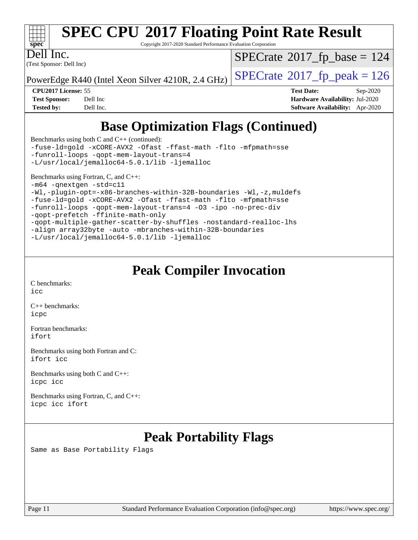

Copyright 2017-2020 Standard Performance Evaluation Corporation

Dell Inc.

(Test Sponsor: Dell Inc)

 $SPECTate$ <sup>®</sup>[2017\\_fp\\_base =](http://www.spec.org/auto/cpu2017/Docs/result-fields.html#SPECrate2017fpbase) 124

PowerEdge R440 (Intel Xeon Silver 4210R, 2.4 GHz)  $\left|$  [SPECrate](http://www.spec.org/auto/cpu2017/Docs/result-fields.html#SPECrate2017fppeak)<sup>®</sup>[2017\\_fp\\_peak = 1](http://www.spec.org/auto/cpu2017/Docs/result-fields.html#SPECrate2017fppeak)26

**[CPU2017 License:](http://www.spec.org/auto/cpu2017/Docs/result-fields.html#CPU2017License)** 55 **[Test Date:](http://www.spec.org/auto/cpu2017/Docs/result-fields.html#TestDate)** Sep-2020 **[Test Sponsor:](http://www.spec.org/auto/cpu2017/Docs/result-fields.html#TestSponsor)** Dell Inc **[Hardware Availability:](http://www.spec.org/auto/cpu2017/Docs/result-fields.html#HardwareAvailability)** Jul-2020 **[Tested by:](http://www.spec.org/auto/cpu2017/Docs/result-fields.html#Testedby)** Dell Inc. **[Software Availability:](http://www.spec.org/auto/cpu2017/Docs/result-fields.html#SoftwareAvailability)** Apr-2020

## **[Base Optimization Flags \(Continued\)](http://www.spec.org/auto/cpu2017/Docs/result-fields.html#BaseOptimizationFlags)**

[Benchmarks using both C and C++](http://www.spec.org/auto/cpu2017/Docs/result-fields.html#BenchmarksusingbothCandCXX) (continued): [-fuse-ld=gold](http://www.spec.org/cpu2017/results/res2020q4/cpu2017-20200928-24070.flags.html#user_CC_CXXbase_f-fuse-ld_920b3586e2b8c6e0748b9c84fa9b744736ba725a32cab14ad8f3d4ad28eecb2f59d1144823d2e17006539a88734fe1fc08fc3035f7676166309105a78aaabc32) [-xCORE-AVX2](http://www.spec.org/cpu2017/results/res2020q4/cpu2017-20200928-24070.flags.html#user_CC_CXXbase_f-xCORE-AVX2) [-Ofast](http://www.spec.org/cpu2017/results/res2020q4/cpu2017-20200928-24070.flags.html#user_CC_CXXbase_f-Ofast) [-ffast-math](http://www.spec.org/cpu2017/results/res2020q4/cpu2017-20200928-24070.flags.html#user_CC_CXXbase_f-ffast-math) [-flto](http://www.spec.org/cpu2017/results/res2020q4/cpu2017-20200928-24070.flags.html#user_CC_CXXbase_f-flto) [-mfpmath=sse](http://www.spec.org/cpu2017/results/res2020q4/cpu2017-20200928-24070.flags.html#user_CC_CXXbase_f-mfpmath_70eb8fac26bde974f8ab713bc9086c5621c0b8d2f6c86f38af0bd7062540daf19db5f3a066d8c6684be05d84c9b6322eb3b5be6619d967835195b93d6c02afa1) [-funroll-loops](http://www.spec.org/cpu2017/results/res2020q4/cpu2017-20200928-24070.flags.html#user_CC_CXXbase_f-funroll-loops) [-qopt-mem-layout-trans=4](http://www.spec.org/cpu2017/results/res2020q4/cpu2017-20200928-24070.flags.html#user_CC_CXXbase_f-qopt-mem-layout-trans_fa39e755916c150a61361b7846f310bcdf6f04e385ef281cadf3647acec3f0ae266d1a1d22d972a7087a248fd4e6ca390a3634700869573d231a252c784941a8) [-L/usr/local/jemalloc64-5.0.1/lib](http://www.spec.org/cpu2017/results/res2020q4/cpu2017-20200928-24070.flags.html#user_CC_CXXbase_jemalloc_link_path64_1_cc289568b1a6c0fd3b62c91b824c27fcb5af5e8098e6ad028160d21144ef1b8aef3170d2acf0bee98a8da324cfe4f67d0a3d0c4cc4673d993d694dc2a0df248b) [-ljemalloc](http://www.spec.org/cpu2017/results/res2020q4/cpu2017-20200928-24070.flags.html#user_CC_CXXbase_jemalloc_link_lib_d1249b907c500fa1c0672f44f562e3d0f79738ae9e3c4a9c376d49f265a04b9c99b167ecedbf6711b3085be911c67ff61f150a17b3472be731631ba4d0471706) [Benchmarks using Fortran, C, and C++:](http://www.spec.org/auto/cpu2017/Docs/result-fields.html#BenchmarksusingFortranCandCXX) [-m64](http://www.spec.org/cpu2017/results/res2020q4/cpu2017-20200928-24070.flags.html#user_CC_CXX_FCbase_m64-icc) [-qnextgen](http://www.spec.org/cpu2017/results/res2020q4/cpu2017-20200928-24070.flags.html#user_CC_CXX_FCbase_f-qnextgen) [-std=c11](http://www.spec.org/cpu2017/results/res2020q4/cpu2017-20200928-24070.flags.html#user_CC_CXX_FCbase_std-icc-std_0e1c27790398a4642dfca32ffe6c27b5796f9c2d2676156f2e42c9c44eaad0c049b1cdb667a270c34d979996257aeb8fc440bfb01818dbc9357bd9d174cb8524) [-Wl,-plugin-opt=-x86-branches-within-32B-boundaries](http://www.spec.org/cpu2017/results/res2020q4/cpu2017-20200928-24070.flags.html#user_CC_CXX_FCbase_f-x86-branches-within-32B-boundaries_0098b4e4317ae60947b7b728078a624952a08ac37a3c797dfb4ffeb399e0c61a9dd0f2f44ce917e9361fb9076ccb15e7824594512dd315205382d84209e912f3) [-Wl,-z,muldefs](http://www.spec.org/cpu2017/results/res2020q4/cpu2017-20200928-24070.flags.html#user_CC_CXX_FCbase_link_force_multiple1_b4cbdb97b34bdee9ceefcfe54f4c8ea74255f0b02a4b23e853cdb0e18eb4525ac79b5a88067c842dd0ee6996c24547a27a4b99331201badda8798ef8a743f577) [-fuse-ld=gold](http://www.spec.org/cpu2017/results/res2020q4/cpu2017-20200928-24070.flags.html#user_CC_CXX_FCbase_f-fuse-ld_920b3586e2b8c6e0748b9c84fa9b744736ba725a32cab14ad8f3d4ad28eecb2f59d1144823d2e17006539a88734fe1fc08fc3035f7676166309105a78aaabc32) [-xCORE-AVX2](http://www.spec.org/cpu2017/results/res2020q4/cpu2017-20200928-24070.flags.html#user_CC_CXX_FCbase_f-xCORE-AVX2) [-Ofast](http://www.spec.org/cpu2017/results/res2020q4/cpu2017-20200928-24070.flags.html#user_CC_CXX_FCbase_f-Ofast) [-ffast-math](http://www.spec.org/cpu2017/results/res2020q4/cpu2017-20200928-24070.flags.html#user_CC_CXX_FCbase_f-ffast-math) [-flto](http://www.spec.org/cpu2017/results/res2020q4/cpu2017-20200928-24070.flags.html#user_CC_CXX_FCbase_f-flto) [-mfpmath=sse](http://www.spec.org/cpu2017/results/res2020q4/cpu2017-20200928-24070.flags.html#user_CC_CXX_FCbase_f-mfpmath_70eb8fac26bde974f8ab713bc9086c5621c0b8d2f6c86f38af0bd7062540daf19db5f3a066d8c6684be05d84c9b6322eb3b5be6619d967835195b93d6c02afa1) [-funroll-loops](http://www.spec.org/cpu2017/results/res2020q4/cpu2017-20200928-24070.flags.html#user_CC_CXX_FCbase_f-funroll-loops) [-qopt-mem-layout-trans=4](http://www.spec.org/cpu2017/results/res2020q4/cpu2017-20200928-24070.flags.html#user_CC_CXX_FCbase_f-qopt-mem-layout-trans_fa39e755916c150a61361b7846f310bcdf6f04e385ef281cadf3647acec3f0ae266d1a1d22d972a7087a248fd4e6ca390a3634700869573d231a252c784941a8) [-O3](http://www.spec.org/cpu2017/results/res2020q4/cpu2017-20200928-24070.flags.html#user_CC_CXX_FCbase_f-O3) [-ipo](http://www.spec.org/cpu2017/results/res2020q4/cpu2017-20200928-24070.flags.html#user_CC_CXX_FCbase_f-ipo) [-no-prec-div](http://www.spec.org/cpu2017/results/res2020q4/cpu2017-20200928-24070.flags.html#user_CC_CXX_FCbase_f-no-prec-div)

[-qopt-prefetch](http://www.spec.org/cpu2017/results/res2020q4/cpu2017-20200928-24070.flags.html#user_CC_CXX_FCbase_f-qopt-prefetch) [-ffinite-math-only](http://www.spec.org/cpu2017/results/res2020q4/cpu2017-20200928-24070.flags.html#user_CC_CXX_FCbase_f_finite_math_only_cb91587bd2077682c4b38af759c288ed7c732db004271a9512da14a4f8007909a5f1427ecbf1a0fb78ff2a814402c6114ac565ca162485bbcae155b5e4258871) [-qopt-multiple-gather-scatter-by-shuffles](http://www.spec.org/cpu2017/results/res2020q4/cpu2017-20200928-24070.flags.html#user_CC_CXX_FCbase_f-qopt-multiple-gather-scatter-by-shuffles) [-nostandard-realloc-lhs](http://www.spec.org/cpu2017/results/res2020q4/cpu2017-20200928-24070.flags.html#user_CC_CXX_FCbase_f_2003_std_realloc_82b4557e90729c0f113870c07e44d33d6f5a304b4f63d4c15d2d0f1fab99f5daaed73bdb9275d9ae411527f28b936061aa8b9c8f2d63842963b95c9dd6426b8a)

[-align array32byte](http://www.spec.org/cpu2017/results/res2020q4/cpu2017-20200928-24070.flags.html#user_CC_CXX_FCbase_align_array32byte_b982fe038af199962ba9a80c053b8342c548c85b40b8e86eb3cc33dee0d7986a4af373ac2d51c3f7cf710a18d62fdce2948f201cd044323541f22fc0fffc51b6) [-auto](http://www.spec.org/cpu2017/results/res2020q4/cpu2017-20200928-24070.flags.html#user_CC_CXX_FCbase_f-auto) [-mbranches-within-32B-boundaries](http://www.spec.org/cpu2017/results/res2020q4/cpu2017-20200928-24070.flags.html#user_CC_CXX_FCbase_f-mbranches-within-32B-boundaries)

```
-L/usr/local/jemalloc64-5.0.1/lib -ljemalloc
```
## **[Peak Compiler Invocation](http://www.spec.org/auto/cpu2017/Docs/result-fields.html#PeakCompilerInvocation)**

[C benchmarks](http://www.spec.org/auto/cpu2017/Docs/result-fields.html#Cbenchmarks): [icc](http://www.spec.org/cpu2017/results/res2020q4/cpu2017-20200928-24070.flags.html#user_CCpeak_intel_icc_66fc1ee009f7361af1fbd72ca7dcefbb700085f36577c54f309893dd4ec40d12360134090235512931783d35fd58c0460139e722d5067c5574d8eaf2b3e37e92)

[C++ benchmarks:](http://www.spec.org/auto/cpu2017/Docs/result-fields.html#CXXbenchmarks) [icpc](http://www.spec.org/cpu2017/results/res2020q4/cpu2017-20200928-24070.flags.html#user_CXXpeak_intel_icpc_c510b6838c7f56d33e37e94d029a35b4a7bccf4766a728ee175e80a419847e808290a9b78be685c44ab727ea267ec2f070ec5dc83b407c0218cded6866a35d07)

[Fortran benchmarks](http://www.spec.org/auto/cpu2017/Docs/result-fields.html#Fortranbenchmarks): [ifort](http://www.spec.org/cpu2017/results/res2020q4/cpu2017-20200928-24070.flags.html#user_FCpeak_intel_ifort_8111460550e3ca792625aed983ce982f94888b8b503583aa7ba2b8303487b4d8a21a13e7191a45c5fd58ff318f48f9492884d4413fa793fd88dd292cad7027ca)

[Benchmarks using both Fortran and C](http://www.spec.org/auto/cpu2017/Docs/result-fields.html#BenchmarksusingbothFortranandC): [ifort](http://www.spec.org/cpu2017/results/res2020q4/cpu2017-20200928-24070.flags.html#user_CC_FCpeak_intel_ifort_8111460550e3ca792625aed983ce982f94888b8b503583aa7ba2b8303487b4d8a21a13e7191a45c5fd58ff318f48f9492884d4413fa793fd88dd292cad7027ca) [icc](http://www.spec.org/cpu2017/results/res2020q4/cpu2017-20200928-24070.flags.html#user_CC_FCpeak_intel_icc_66fc1ee009f7361af1fbd72ca7dcefbb700085f36577c54f309893dd4ec40d12360134090235512931783d35fd58c0460139e722d5067c5574d8eaf2b3e37e92)

[Benchmarks using both C and C++](http://www.spec.org/auto/cpu2017/Docs/result-fields.html#BenchmarksusingbothCandCXX): [icpc](http://www.spec.org/cpu2017/results/res2020q4/cpu2017-20200928-24070.flags.html#user_CC_CXXpeak_intel_icpc_c510b6838c7f56d33e37e94d029a35b4a7bccf4766a728ee175e80a419847e808290a9b78be685c44ab727ea267ec2f070ec5dc83b407c0218cded6866a35d07) [icc](http://www.spec.org/cpu2017/results/res2020q4/cpu2017-20200928-24070.flags.html#user_CC_CXXpeak_intel_icc_66fc1ee009f7361af1fbd72ca7dcefbb700085f36577c54f309893dd4ec40d12360134090235512931783d35fd58c0460139e722d5067c5574d8eaf2b3e37e92)

[Benchmarks using Fortran, C, and C++:](http://www.spec.org/auto/cpu2017/Docs/result-fields.html#BenchmarksusingFortranCandCXX) [icpc](http://www.spec.org/cpu2017/results/res2020q4/cpu2017-20200928-24070.flags.html#user_CC_CXX_FCpeak_intel_icpc_c510b6838c7f56d33e37e94d029a35b4a7bccf4766a728ee175e80a419847e808290a9b78be685c44ab727ea267ec2f070ec5dc83b407c0218cded6866a35d07) [icc](http://www.spec.org/cpu2017/results/res2020q4/cpu2017-20200928-24070.flags.html#user_CC_CXX_FCpeak_intel_icc_66fc1ee009f7361af1fbd72ca7dcefbb700085f36577c54f309893dd4ec40d12360134090235512931783d35fd58c0460139e722d5067c5574d8eaf2b3e37e92) [ifort](http://www.spec.org/cpu2017/results/res2020q4/cpu2017-20200928-24070.flags.html#user_CC_CXX_FCpeak_intel_ifort_8111460550e3ca792625aed983ce982f94888b8b503583aa7ba2b8303487b4d8a21a13e7191a45c5fd58ff318f48f9492884d4413fa793fd88dd292cad7027ca)

## **[Peak Portability Flags](http://www.spec.org/auto/cpu2017/Docs/result-fields.html#PeakPortabilityFlags)**

Same as Base Portability Flags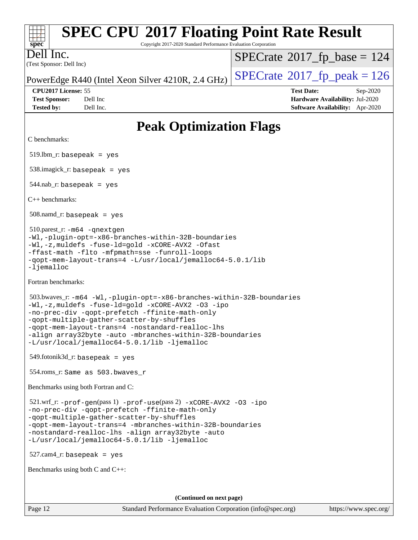| <b>SPEC CPU®2017 Floating Point Rate Result</b><br>Copyright 2017-2020 Standard Performance Evaluation Corporation<br>spec <sup>®</sup>                                                                                                                                                                                                                                                      |                                                                                                     |  |  |  |
|----------------------------------------------------------------------------------------------------------------------------------------------------------------------------------------------------------------------------------------------------------------------------------------------------------------------------------------------------------------------------------------------|-----------------------------------------------------------------------------------------------------|--|--|--|
| Dell Inc.<br>(Test Sponsor: Dell Inc)                                                                                                                                                                                                                                                                                                                                                        | $SPECrate^{\circ}2017$ _fp_base = 124                                                               |  |  |  |
| PowerEdge R440 (Intel Xeon Silver 4210R, 2.4 GHz)                                                                                                                                                                                                                                                                                                                                            | $SPECrate^{\circ}2017$ _fp_peak = 126                                                               |  |  |  |
| CPU2017 License: 55<br><b>Test Sponsor:</b><br>Dell Inc<br><b>Tested by:</b><br>Dell Inc.                                                                                                                                                                                                                                                                                                    | <b>Test Date:</b><br>Sep-2020<br>Hardware Availability: Jul-2020<br>Software Availability: Apr-2020 |  |  |  |
| <b>Peak Optimization Flags</b>                                                                                                                                                                                                                                                                                                                                                               |                                                                                                     |  |  |  |
| C benchmarks:                                                                                                                                                                                                                                                                                                                                                                                |                                                                                                     |  |  |  |
| $519.$ lbm_r: basepeak = yes                                                                                                                                                                                                                                                                                                                                                                 |                                                                                                     |  |  |  |
| $538.\text{imagick}_r: \text{basepeak} = \text{yes}$                                                                                                                                                                                                                                                                                                                                         |                                                                                                     |  |  |  |
| $544$ .nab_r: basepeak = yes                                                                                                                                                                                                                                                                                                                                                                 |                                                                                                     |  |  |  |
| $C_{++}$ benchmarks:                                                                                                                                                                                                                                                                                                                                                                         |                                                                                                     |  |  |  |
| $508$ .namd_r: basepeak = yes                                                                                                                                                                                                                                                                                                                                                                |                                                                                                     |  |  |  |
| 510.parest_r: -m64 -qnextgen<br>-Wl,-plugin-opt=-x86-branches-within-32B-boundaries<br>-Wl,-z, muldefs -fuse-ld=gold -xCORE-AVX2 -Ofast<br>-ffast-math -flto -mfpmath=sse -funroll-loops<br>-qopt-mem-layout-trans=4 -L/usr/local/jemalloc64-5.0.1/lib<br>$-lj$ emalloc                                                                                                                      |                                                                                                     |  |  |  |
| Fortran benchmarks:                                                                                                                                                                                                                                                                                                                                                                          |                                                                                                     |  |  |  |
| 503.bwaves_r: -m64 -Wl,-plugin-opt=-x86-branches-within-32B-boundaries<br>-Wl,-z, muldefs -fuse-ld=gold -xCORE-AVX2 -03 -ipo<br>-no-prec-div -qopt-prefetch -ffinite-math-only<br>-qopt-multiple-gather-scatter-by-shuffles<br>-gopt-mem-layout-trans=4 -nostandard-realloc-lhs<br>-align array32byte -auto -mbranches-within-32B-boundaries<br>-L/usr/local/jemalloc64-5.0.1/lib -ljemalloc |                                                                                                     |  |  |  |
| $549$ .fotonik $3d$ _r: basepeak = yes                                                                                                                                                                                                                                                                                                                                                       |                                                                                                     |  |  |  |
| 554.roms_r: Same as 503.bwaves_r                                                                                                                                                                                                                                                                                                                                                             |                                                                                                     |  |  |  |
| Benchmarks using both Fortran and C:                                                                                                                                                                                                                                                                                                                                                         |                                                                                                     |  |  |  |
| $521.wrf_r: -prof-gen(pass 1) -prof-use(pass 2) -xCORE-AVX2 -03 -ipo$<br>-no-prec-div -qopt-prefetch -ffinite-math-only<br>-qopt-multiple-gather-scatter-by-shuffles<br>-qopt-mem-layout-trans=4 -mbranches-within-32B-boundaries<br>-nostandard-realloc-lhs -align array32byte -auto<br>-L/usr/local/jemalloc64-5.0.1/lib -ljemalloc                                                        |                                                                                                     |  |  |  |
| $527.cam4_r$ : basepeak = yes                                                                                                                                                                                                                                                                                                                                                                |                                                                                                     |  |  |  |
| Benchmarks using both C and C++:                                                                                                                                                                                                                                                                                                                                                             |                                                                                                     |  |  |  |
| (Continued on next page)                                                                                                                                                                                                                                                                                                                                                                     |                                                                                                     |  |  |  |